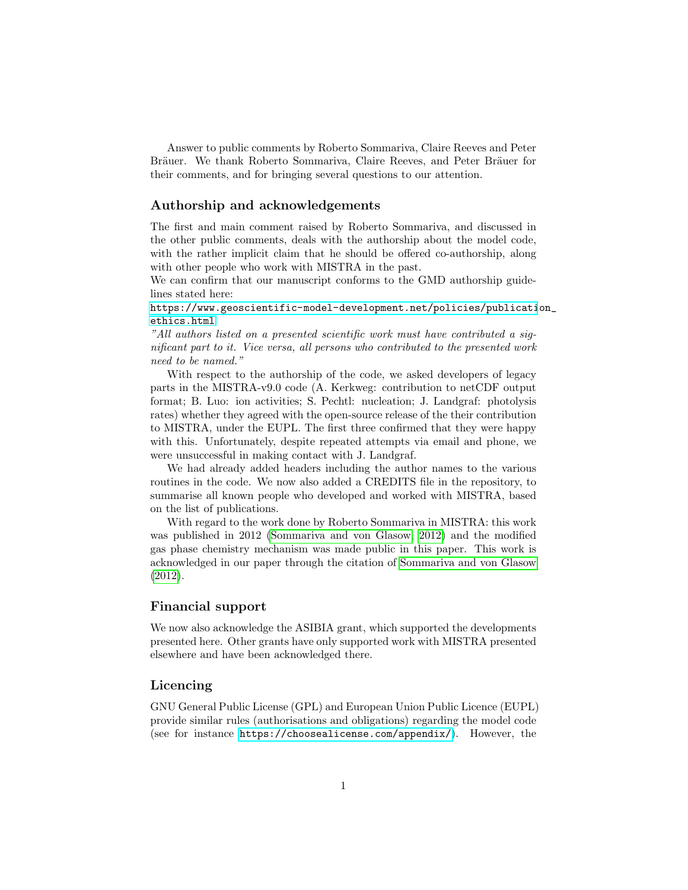Answer to public comments by Roberto Sommariva, Claire Reeves and Peter Bräuer. We thank Roberto Sommariva, Claire Reeves, and Peter Bräuer for their comments, and for bringing several questions to our attention.

#### Authorship and acknowledgements

The first and main comment raised by Roberto Sommariva, and discussed in the other public comments, deals with the authorship about the model code, with the rather implicit claim that he should be offered co-authorship, along with other people who work with MISTRA in the past.

We can confirm that our manuscript conforms to the GMD authorship guidelines stated here:

[https://www.geoscientific-model-development.net/policies/publicati](https://www.geoscientific-model-development.net/policies/publication_ethics.html)on\_ [ethics.html](https://www.geoscientific-model-development.net/policies/publication_ethics.html)

"All authors listed on a presented scientific work must have contributed a significant part to it. Vice versa, all persons who contributed to the presented work need to be named."

With respect to the authorship of the code, we asked developers of legacy parts in the MISTRA-v9.0 code (A. Kerkweg: contribution to netCDF output format; B. Luo: ion activities; S. Pechtl: nucleation; J. Landgraf: photolysis rates) whether they agreed with the open-source release of the their contribution to MISTRA, under the EUPL. The first three confirmed that they were happy with this. Unfortunately, despite repeated attempts via email and phone, we were unsuccessful in making contact with J. Landgraf.

We had already added headers including the author names to the various routines in the code. We now also added a CREDITS file in the repository, to summarise all known people who developed and worked with MISTRA, based on the list of publications.

With regard to the work done by Roberto Sommariva in MISTRA: this work was published in 2012 [\(Sommariva and von Glasow, 2012\)](#page-1-0) and the modified gas phase chemistry mechanism was made public in this paper. This work is acknowledged in our paper through the citation of [Sommariva and von Glasow](#page-1-0) [\(2012\)](#page-1-0).

## Financial support

We now also acknowledge the ASIBIA grant, which supported the developments presented here. Other grants have only supported work with MISTRA presented elsewhere and have been acknowledged there.

### Licencing

GNU General Public License (GPL) and European Union Public Licence (EUPL) provide similar rules (authorisations and obligations) regarding the model code (see for instance <https://choosealicense.com/appendix/>). However, the